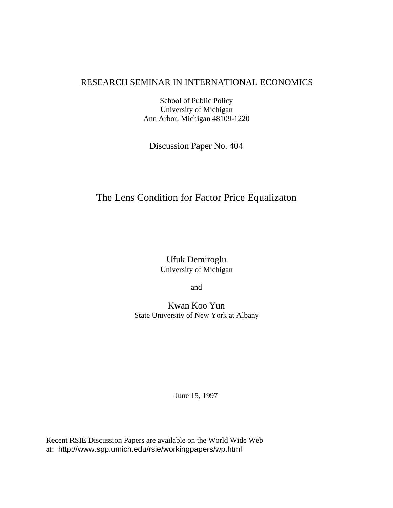# RESEARCH SEMINAR IN INTERNATIONAL ECONOMICS

School of Public Policy University of Michigan Ann Arbor, Michigan 48109-1220

Discussion Paper No. 404

# The Lens Condition for Factor Price Equalizaton

Ufuk Demiroglu University of Michigan

and

Kwan Koo Yun State University of New York at Albany

June 15, 1997

Recent RSIE Discussion Papers are available on the World Wide Web at: http://www.spp.umich.edu/rsie/workingpapers/wp.html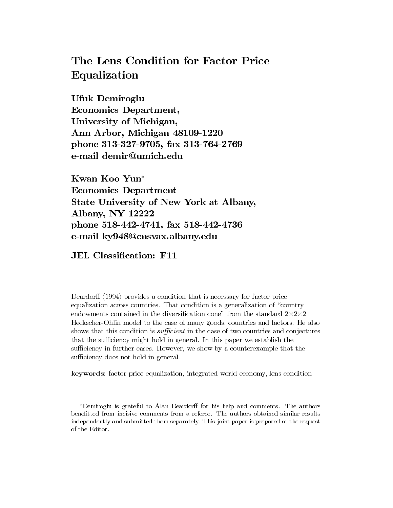# The Lens Condition for Factor Price Equalization

Ufuk Demiroglu **Economics Department,** University of Michigan, Ann Arbor, Michigan 48109-1220 phone 313-327-9705, fax 313-764-2769 e-mail demir@umich.edu

Kwan Koo Yun\* **Economics Department** State University of New York at Albany, Albany, NY 12222 phone 518-442-4741, fax 518-442-4736 e-mail ky948@cnsvax.albany.edu

**JEL Classification: F11** 

Deardorff (1994) provides a condition that is necessary for factor price equalization across countries. That condition is a generalization of "country" endowments contained in the diversification cone" from the standard  $2 \times 2 \times 2$ Heckscher-Ohlin model to the case of many goods, countries and factors. He also shows that this condition is *sufficient* in the case of two countries and conjectures that the sufficiency might hold in general. In this paper we establish the sufficiency in further cases. However, we show by a counterexample that the sufficiency does not hold in general.

keywords: factor price equalization, integrated world economy, lens condition

<sup>\*</sup>Demiroglu is grateful to Alan Deardorff for his help and comments. The authors benefitted from incisive comments from a referee. The authors obtained similar results independently and submitted them separately. This joint paper is prepared at the request of the Editor.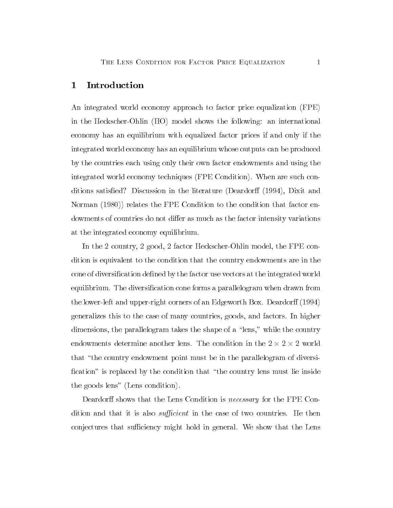#### $1$  Introduction

An integrated world economy approach to factor price equalization (FPE) in the Heckscher-Ohlin (HO) model shows the following: an international economy has an equilibrium with equalized factor prices if and only if the integrated world economy has an equilibrium whose outputs can be produced by the countries each using only their own factor endowments and using the integrated world economy techniques (FPE Condition). When are such conditions satisfied? Discussion in the literature (Deardorff  $(1994)$ , Dixit and Norman  $(1980)$  relates the FPE Condition to the condition that factor endowments of countries do not differ as much as the factor intensity variations at the integrated economy equilibrium.

In the 2 country, 2 good, 2 factor Heckscher-Ohlin model, the FPE condition is equivalent to the condition that the country endowments are in the cone of diversification defined by the factor use vectors at the integrated world equilibrium. The diversification cone forms a parallelogram when drawn from the lower-left and upper-right corners of an Edgeworth Box. Deardorff  $(1994)$ generalizes this to the case of many countries, goods, and factors. In higher dimensions, the parallelogram takes the shape of a "lens," while the country endowments determine another lens. The condition in the  $2 \times 2 \times 2$  world that "the country endowment point must be in the parallelogram of diversification" is replaced by the condition that "the country lens must lie inside the goods lens" (Lens condition).

Deardorff shows that the Lens Condition is *necessary* for the FPE Condition and that it is also *sufficient* in the case of two countries. He then conjectures that sufficiency might hold in general. We show that the Lens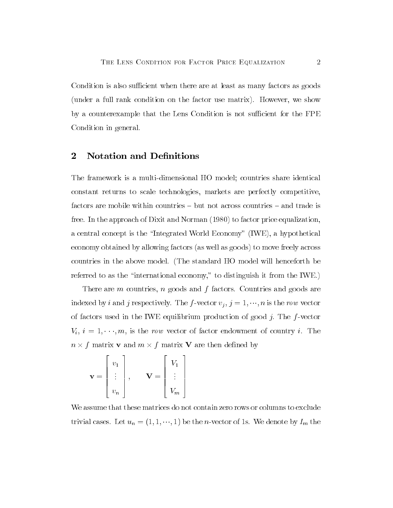Condition is also sufficient when there are at least as many factors as goods (under a full rank condition on the factor use matrix). However, we show by a counterexample that the Lens Condition is not sufficient for the FPE Condition in general.

### 2 Notation and Definitions

The framework is a multi-dimensional HO model; countries share identical constant returns to scale technologies, markets are perfectly competitive, factors are mobile within countries  $-$  but not across countries  $-$  and trade is free. In the approach of Dixit and Norman  $(1980)$  to factor price equalization, a central concept is the "Integrated World Economy"  $(WE)$ , a hypothetical economy obtained by allowing factors (as well as goods) to move freely across countries in the above model. (The standard HO model will henceforth be referred to as the "international economy," to distinguish it from the IWE.)

There are  $m$  countries,  $n$  goods and  $f$  factors. Countries and goods are indexed by *i* and *j* respectively. The *f*-vector  $v_j$ ,  $j = 1, \dots, n$  is the row vector of factors used in the IWE equilibrium production of good j. The  $f$ -vector  $V_i$ ,  $i = 1, \dots, m$ , is the row vector of factor endowment of country i. The  $n \times f$  matrix **v** and  $m \times f$  matrix **V** are then defined by

$$
\mathbf{v} = \begin{bmatrix} v_1 \\ \vdots \\ v_n \end{bmatrix}, \quad \mathbf{V} = \begin{bmatrix} V_1 \\ \vdots \\ V_m \end{bmatrix}
$$

We assume that these matrices do not contain zero rows or columns to exclude trivial cases. Let  $u_n = (1, 1, \dots, 1)$  be the *n*-vector of 1s. We denote by  $I_m$  the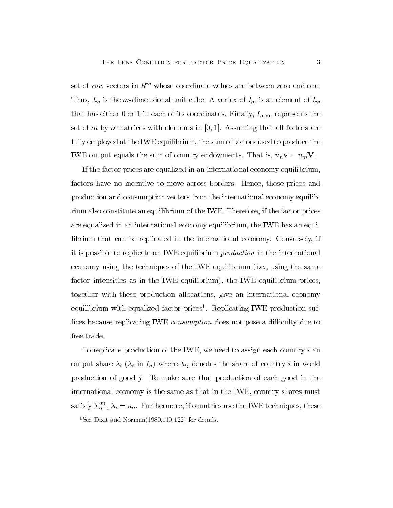set of row vectors in  $\mathbb{R}^m$  whose coordinate values are between zero and one. Thus,  $I_m$  is the m-dimensional unit cube. A vertex of  $I_m$  is an element of  $I_m$ that has either 0 or 1 in each of its coordinates. Finally,  $I_{m \times n}$  represents the set of m by n matrices with elements in [0, 1]. Assuming that all factors are fully employed at the IWE equilibrium, the sum of factors used to produce the IWE output equals the sum of country endowments. That is,  $u_n \mathbf{v} = u_m \mathbf{V}$ .

If the factor prices are equalized in an international economy equilibrium. factors have no incentive to move across borders. Hence, those prices and production and consumption vectors from the international economy equilibrium also constitute an equilibrium of the IWE. Therefore, if the factor prices are equalized in an international economy equilibrium, the IWE has an equilibrium that can be replicated in the international economy. Conversely, if it is possible to replicate an IWE equilibrium *production* in the international economy using the techniques of the IWE equilibrium (i.e., using the same factor intensities as in the IWE equilibrium), the IWE equilibrium prices, together with these production allocations, give an international economy equilibrium with equalized factor prices<sup>1</sup>. Replicating IWE production suffices because replicating IWE *consumption* does not pose a difficulty due to free trade.

To replicate production of the IWE, we need to assign each country i an output share  $\lambda_i$  ( $\lambda_i$  in  $I_n$ ) where  $\lambda_{ij}$  denotes the share of country i in world production of good  $j$ . To make sure that production of each good in the international economy is the same as that in the IWE, country shares must satisfy  $\sum_{i=1}^{m} \lambda_i = u_n$ . Furthermore, if countries use the IWE techniques, these

<sup>1</sup>See Dixit and Norman(1980,110-122) for details.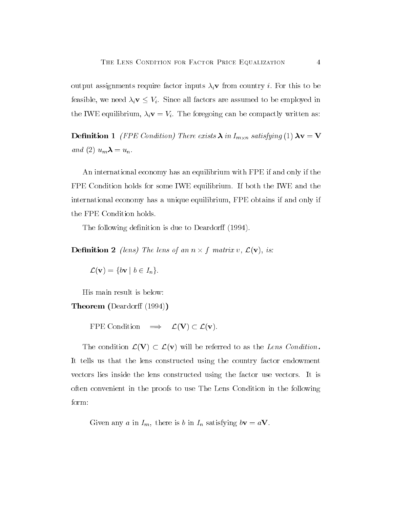output assignments require factor inputs  $\lambda_i$ **v** from country *i*. For this to be feasible, we need  $\lambda_i \mathbf{v} \leq V_i$ . Since all factors are assumed to be employed in the IWE equilibrium,  $\lambda_i \mathbf{v} = V_i$ . The foregoing can be compactly written as:

**Definition 1** (FPE Condition) There exists  $\lambda$  in  $I_{m \times n}$  satisfying (1)  $\lambda v = V$ and (2)  $u_m \lambda = u_n$ .

An international economy has an equilibrium with FPE if and only if the FPE Condition holds for some IWE equilibrium. If both the IWE and the international economy has a unique equilibrium, FPE obtains if and only if the FPE Condition holds.

The following definition is due to Deardorff (1994).

**Definition 2** (lens) The lens of an  $n \times f$  matrix v,  $\mathcal{L}(\mathbf{v})$ , is:

$$
\mathcal{L}(\mathbf{v}) = \{b\mathbf{v} \mid b \in I_n\}.
$$

His main result is below:

**Theorem** (Deardorff  $(1994)$ )

FPE Condition  $\implies \mathcal{L}(\mathbf{V}) \subset \mathcal{L}(\mathbf{v}).$ 

The condition  $\mathcal{L}(V) \subset \mathcal{L}(v)$  will be referred to as the Lens Condition. It tells us that the lens constructed using the country factor endowment vectors lies inside the lens constructed using the factor use vectors. It is often convenient in the proofs to use The Lens Condition in the following form:

Given any a in  $I_m$ , there is b in  $I_n$  satisfying  $b\mathbf{v} = a\mathbf{V}$ .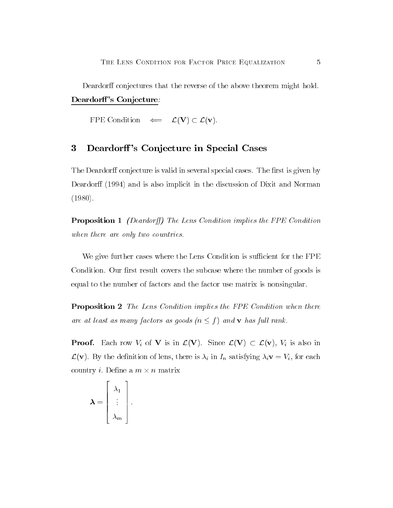Deardorff conjectures that the reverse of the above theorem might hold. Deardorff's Conjecture:

FPE Condition  $\Leftarrow \mathcal{L}(V) \subset \mathcal{L}(v)$ .

#### 3 Deardorff's Conjecture in Special Cases

The Deardorff conjecture is valid in several special cases. The first is given by Deardorff (1994) and is also implicit in the discussion of Dixit and Norman  $(1980).$ 

**Proposition 1** (Deardorff) The Lens Condition implies the FPE Condition when there are only two countries.

We give further cases where the Lens Condition is sufficient for the FPE Condition. Our first result covers the subcase where the number of goods is equal to the number of factors and the factor use matrix is nonsingular.

**Proposition 2** The Lens Condition implies the FPE Condition when there are at least as many factors as goods  $(n \leq f)$  and **v** has full rank.

**Proof.** Each row  $V_i$  of **V** is in  $\mathcal{L}(\mathbf{V})$ . Since  $\mathcal{L}(\mathbf{V}) \subset \mathcal{L}(\mathbf{v})$ ,  $V_i$  is also in  $\mathcal{L}(\mathbf{v})$ . By the definition of lens, there is  $\lambda_i$  in  $I_n$  satisfying  $\lambda_i \mathbf{v} = V_i$ , for each country *i*. Define a  $m \times n$  matrix

$$
\boldsymbol{\lambda} = \begin{bmatrix} \lambda_1 \\ \vdots \\ \lambda_m \end{bmatrix}.
$$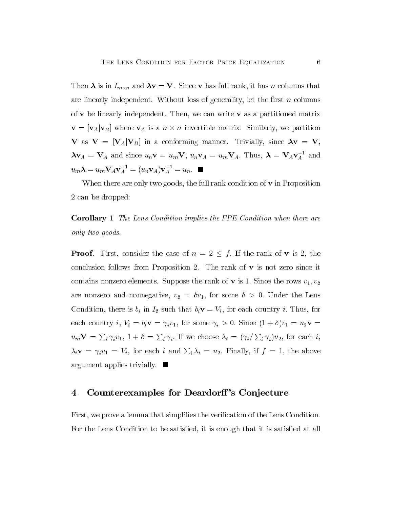Then  $\lambda$  is in  $I_{m \times n}$  and  $\lambda \mathbf{v} = \mathbf{V}$ . Since  $\mathbf{v}$  has full rank, it has n columns that are linearly independent. Without loss of generality, let the first  $n$  columns of  $\bf{v}$  be linearly independent. Then, we can write  $\bf{v}$  as a partitioned matrix  $\mathbf{v} = [\mathbf{v}_A | \mathbf{v}_B]$  where  $\mathbf{v}_A$  is a  $n \times n$  invertible matrix. Similarly, we partition V as  $V = [V_A | V_B]$  in a conforming manner. Trivially, since  $\lambda v = V$ ,  $\lambda \mathbf{v}_A = \mathbf{V}_A$  and since  $u_n \mathbf{v} = u_m \mathbf{V}$ ,  $u_n \mathbf{v}_A = u_m \mathbf{V}_A$ . Thus,  $\lambda = \mathbf{V}_A \mathbf{v}_A^{-1}$  and  $u_m \lambda = u_m \mathbf{V}_A \mathbf{v}_A^{-1} = (u_n \mathbf{v}_A) \mathbf{v}_A^{-1} = u_n.$ 

When there are only two goods, the full rank condition of  $v$  in Proposition  $2$  can be dropped:

**Corollary 1** The Lens Condition implies the FPE Condition when there are only two goods.

**Proof.** First, consider the case of  $n = 2 \leq f$ . If the rank of **v** is 2, the conclusion follows from Proposition 2. The rank of  $v$  is not zero since it contains nonzero elements. Suppose the rank of **v** is 1. Since the rows  $v_1, v_2$ are nonzero and nonnegative,  $v_2 = \delta v_1$ , for some  $\delta > 0$ . Under the Lens Condition, there is  $b_i$  in  $I_2$  such that  $b_i \mathbf{v} = V_i$ , for each country i. Thus, for each country *i*,  $V_i = b_i \mathbf{v} = \gamma_i v_1$ , for some  $\gamma_i > 0$ . Since  $(1 + \delta)v_1 = u_2 \mathbf{v} =$  $u_m$ **V** =  $\sum_i \gamma_i v_1$ , 1 +  $\delta = \sum_i \gamma_i$ . If we choose  $\lambda_i = (\gamma_i / \sum_i \gamma_i) u_2$ , for each *i*,  $\lambda_i \mathbf{v} = \gamma_i v_1 = V_i$ , for each i and  $\sum_i \lambda_i = u_2$ . Finally, if  $f = 1$ , the above argument applies trivially.  $\blacksquare$ 

#### 4 Counterexamples for Deardorff's Conjecture

First, we prove a lemma that simplifies the verification of the Lens Condition. For the Lens Condition to be satisfied, it is enough that it is satisfied at all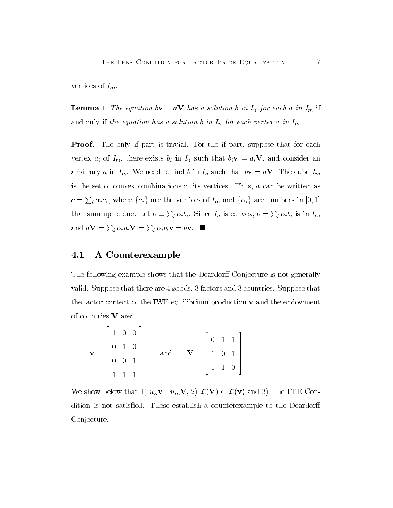vertices of  $I_m$ .

**Lemma 1** The equation by  $= aV$  has a solution b in  $I_n$  for each a in  $I_m$  if and only if the equation has a solution b in  $I_n$  for each vertex a in  $I_m$ .

**Proof.** The only if part is trivial. For the if part, suppose that for each vertex  $a_i$  of  $I_m$ , there exists  $b_i$  in  $I_n$  such that  $b_i \mathbf{v} = a_i \mathbf{V}$ , and consider an arbitrary a in  $I_m$ . We need to find b in  $I_n$  such that  $b\mathbf{v} = a\mathbf{V}$ . The cube  $I_m$ is the set of convex combinations of its vertices. Thus,  $a$  can be written as  $a = \sum_i \alpha_i a_i$ , where  $\{a_i\}$  are the vertices of  $I_m$  and  $\{\alpha_i\}$  are numbers in  $[0, 1]$ that sum up to one. Let  $b \equiv \sum_i \alpha_i b_i$ . Since  $I_n$  is convex,  $b = \sum_i \alpha_i b_i$  is in  $I_n$ , and  $a\mathbf{V} = \sum_i \alpha_i a_i \mathbf{V} = \sum_i \alpha_i b_i \mathbf{v} = b\mathbf{v}$ .

### 4.1 A Counterexample

The following example shows that the Deardorff Conjecture is not generally valid. Suppose that there are  $4$  goods,  $3$  factors and  $3$  countries. Suppose that the factor content of the IWE equilibrium production  $\bf{v}$  and the endowment of countries  $V$  are:

$$
\mathbf{v} = \begin{bmatrix} 1 & 0 & 0 \\ 0 & 1 & 0 \\ 0 & 0 & 1 \\ 1 & 1 & 1 \end{bmatrix} \quad \text{and} \quad \mathbf{V} = \begin{bmatrix} 0 & 1 & 1 \\ 1 & 0 & 1 \\ 1 & 1 & 0 \end{bmatrix}.
$$

We show below that 1)  $u_n \mathbf{v} = u_m \mathbf{V}$ , 2)  $\mathcal{L}(\mathbf{V}) \subset \mathcal{L}(\mathbf{v})$  and 3) The FPE Condition is not satisfied. These establish a counterexample to the Deardorff Conjecture.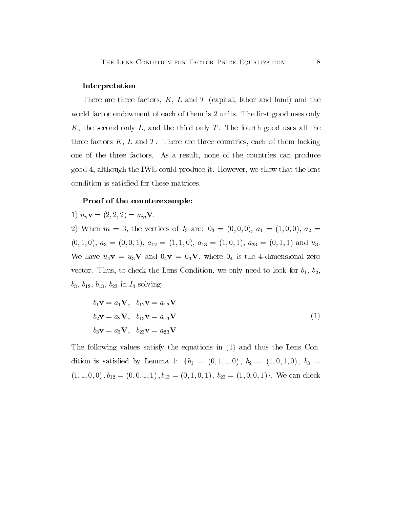#### Interpretation

There are three factors,  $K$ ,  $L$  and  $T$  (capital, labor and land) and the world factor endowment of each of them is 2 units. The first good uses only K, the second only L, and the third only T. The fourth good uses all the three factors  $K$ ,  $L$  and  $T$ . There are three countries, each of them lacking one of the three factors. As a result, none of the countries can produce good 4, although the IWE could produce it. However, we show that the lens condition is satisfied for these matrices.

#### Proof of the counterexample:

1) 
$$
u_n
$$
**v** =  $(2, 2, 2) = u_m$ **V**.

2) When  $m = 3$ , the vertices of  $I_3$  are:  $0_3 = (0,0,0), a_1 = (1,0,0), a_2 =$  $(0,1,0), a_3 = (0,0,1), a_{12} = (1,1,0), a_{13} = (1,0,1), a_{23} = (0,1,1)$  and  $u_3$ . We have  $u_4\mathbf{v} = u_3\mathbf{V}$  and  $0_4\mathbf{v} = 0_3\mathbf{V}$ , where  $0_4$  is the 4-dimensional zero vector. Thus, to check the Lens Condition, we only need to look for  $b_1$ ,  $b_2$ ,  $b_3, b_{12}, b_{13}, b_{23}$  in  $I_4$  solving:

$$
b_1 \mathbf{v} = a_1 \mathbf{V}, \quad b_{12} \mathbf{v} = a_{12} \mathbf{V}
$$
  
\n
$$
b_2 \mathbf{v} = a_2 \mathbf{V}, \quad b_{13} \mathbf{v} = a_{13} \mathbf{V}
$$
  
\n
$$
b_3 \mathbf{v} = a_3 \mathbf{V}, \quad b_{23} \mathbf{v} = a_{23} \mathbf{V}
$$
\n(1)

The following values satisfy the equations in (1) and thus the Lens Condition is satisfied by Lemma 1:  ${b_1 = (0, 1, 1, 0), b_2 = (1, 0, 1, 0), b_3 =}$  $(1, 1, 0, 0), b_{12} = (0, 0, 1, 1), b_{13} = (0, 1, 0, 1), b_{23} = (1, 0, 0, 1)$ . We can check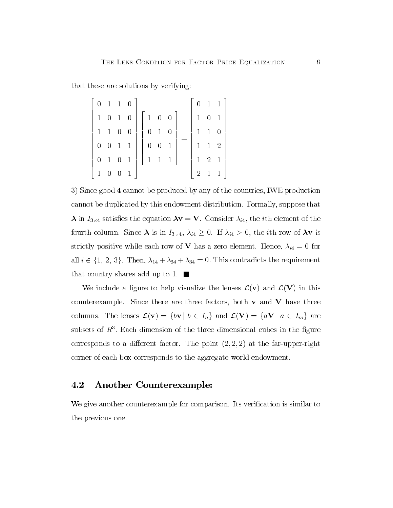that these are solutions by verifying:

|              |                   | $0 \quad 1 \quad 1 \quad 0$                    |                |                                           |                     |                                           |              |              |                                            | $0 \t1 \t1$    |
|--------------|-------------------|------------------------------------------------|----------------|-------------------------------------------|---------------------|-------------------------------------------|--------------|--------------|--------------------------------------------|----------------|
|              |                   | $1\quad 0\quad 1\quad 0$                       |                |                                           |                     | $\begin{array}{cc} 1 & 0 & 0 \end{array}$ |              | $\mathbf{1}$ | $\boldsymbol{0}$                           | $\overline{1}$ |
|              |                   | $\begin{array}{ccc} 1 & 1 & 0 & 0 \end{array}$ |                |                                           | $0 \quad 1 \quad 0$ |                                           |              |              | $1 \quad 1 \quad 0$                        |                |
|              | $0\quad 0\quad$   | $1\quad1$                                      |                | $0 \quad 0$                               |                     | $\overline{1}$                            |              |              | $\begin{array}{ccc} 1 & 1 & 2 \end{array}$ |                |
|              | $0\quad 1\quad 0$ |                                                | $\overline{1}$ | $\begin{vmatrix} 1 & 1 & 1 \end{vmatrix}$ |                     |                                           | $\mathbb{R}$ |              | $1 \quad 2 \quad 1$                        |                |
| $\mathbf{1}$ | $\boldsymbol{0}$  | $\overline{\phantom{0}}$                       | $\overline{1}$ |                                           |                     |                                           |              | 2            | $1\quad 1$                                 |                |

3) Since good 4 cannot be produced by any of the countries, IWE production cannot be duplicated by this endowment distribution. Formally, suppose that  $\lambda$  in  $I_{3\times 4}$  satisfies the equation  $\lambda v = V$ . Consider  $\lambda_{i4}$ , the *i*th element of the fourth column. Since  $\lambda$  is in  $I_{3\times 4}$ ,  $\lambda_{i4} \geq 0$ . If  $\lambda_{i4} > 0$ , the *i*th row of  $\lambda v$  is strictly positive while each row of **V** has a zero element. Hence,  $\lambda_{i4} = 0$  for all  $i \in \{1, 2, 3\}$ . Then,  $\lambda_{14} + \lambda_{24} + \lambda_{34} = 0$ . This contradicts the requirement that country shares add up to 1.  $\blacksquare$ 

We include a figure to help visualize the lenses  $\mathcal{L}(v)$  and  $\mathcal{L}(V)$  in this counterexample. Since there are three factors, both  $v$  and  $V$  have three columns. The lenses  $\mathcal{L}(\mathbf{v}) = \{b\mathbf{v} | b \in I_n\}$  and  $\mathcal{L}(\mathbf{V}) = \{a\mathbf{V} | a \in I_m\}$  are subsets of  $R<sup>3</sup>$ . Each dimension of the three dimensional cubes in the figure corresponds to a different factor. The point  $(2, 2, 2)$  at the far-upper-right corner of each box corresponds to the aggregate world endowment.

#### 4.2 **Another Counterexample:**

We give another counterexample for comparison. Its verification is similar to the previous one.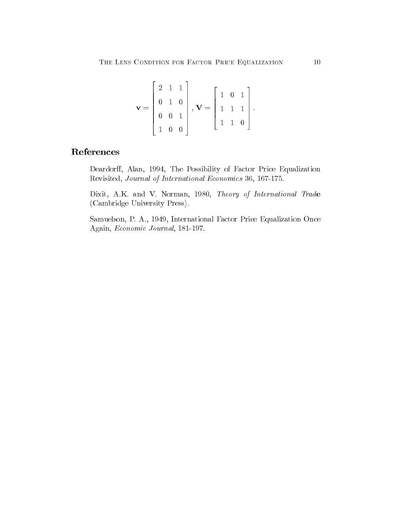$$
\mathbf{v} = \begin{bmatrix} 2 & 1 & 1 \\ 0 & 1 & 0 \\ 0 & 0 & 1 \\ 1 & 0 & 0 \end{bmatrix}, \ \mathbf{V} = \begin{bmatrix} 1 & 0 & 1 \\ 1 & 1 & 1 \\ 1 & 1 & 0 \end{bmatrix}.
$$

## References

Deardorff, Alan, 1994, The Possibility of Factor Price Equalization Revisited, Journal of International Economics 36, 167-175.

Dixit, A.K. and V. Norman, 1980, Theory of International Trade (Cambridge University Press).

Samuelson, P. A., 1949, International Factor Price Equalization Once Again, Economic Journal, 181-197.